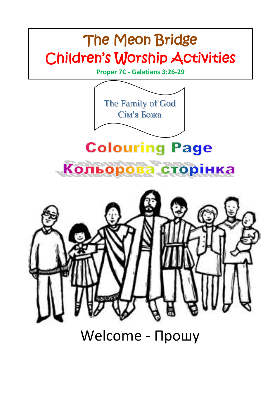

Welcome - Прошу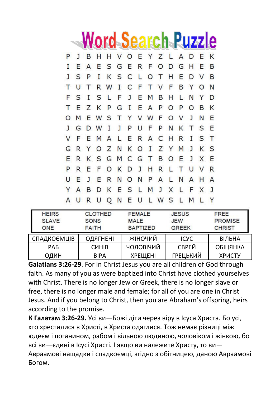|  | <b>Word Search Puzzle</b> |  |  |
|--|---------------------------|--|--|
|--|---------------------------|--|--|

|    | J   | B            |                               |  |  | HHVOEYZLADEK |  |     |       |   |
|----|-----|--------------|-------------------------------|--|--|--------------|--|-----|-------|---|
|    | E   | $\mathsf{A}$ |                               |  |  | ESGERFODGH   |  |     | E     | B |
|    | S P |              | $\bf{I}$                      |  |  | KSCLOTHE     |  |     | D V B |   |
|    |     |              | T U T R W I C F T V F B Y O   |  |  |              |  |     |       | N |
|    |     |              | F S I S L F J E M B H L N Y D |  |  |              |  |     |       |   |
|    |     |              | T E Z K P G I E A P O P O B K |  |  |              |  |     |       |   |
|    |     |              | O M E W S T Y V W F O V J N E |  |  |              |  |     |       |   |
|    |     |              | J G D W I J P U F P N K T S E |  |  |              |  |     |       |   |
|    |     |              | V F E M A L E R A C H R I     |  |  |              |  |     | S T   |   |
| G  |     |              | RYOZNKOIZYMJKS                |  |  |              |  |     |       |   |
| E. |     |              | RKSGMCGTBOEJXE                |  |  |              |  |     |       |   |
|    |     |              | R E F O K D J H R L T U V R   |  |  |              |  |     |       |   |
|    | UE  |              | J E R N O N P A L N A H A     |  |  |              |  |     |       |   |
|    |     |              | Y A B D K E S L M J X L F X J |  |  |              |  |     |       |   |
|    |     |              | A U R U Q N E U L W S L       |  |  |              |  | M L |       | Y |
|    |     |              |                               |  |  |              |  |     |       |   |

| <b>HEIRS</b><br><b>SLAVE</b><br>ONE | <b>CLOTHED</b><br><b>SONS</b><br><b>FAITH</b> | <b>FEMALE</b><br><b>MALE</b><br><b>BAPTIZED</b> | <b>JESUS</b><br><b>JEW</b><br><b>GREEK</b> | FREE<br><b>PROMISE</b><br><b>CHRIST</b> |
|-------------------------------------|-----------------------------------------------|-------------------------------------------------|--------------------------------------------|-----------------------------------------|
| СПАДКОЄМЦІВ                         | ОДЯГНЕНІ                                      | ЖІНОЧИЙ                                         | <b>ICYC</b>                                | ВІЛЬНА                                  |
| <b>PAB</b>                          | <b>CUHIB</b>                                  | ЧОЛОВІЧИЙ                                       | <b>ЄВРЕЙ</b>                               | <b>ОБІЦЯНКА</b>                         |
| ОДИН                                | <b>BIPA</b>                                   | <b>ХРЕШЕНІ</b>                                  | <b>ГРЕЦЬКИЙ</b>                            | <b>ХРИСТУ</b>                           |

**Galatians 3:26-29**. For in Christ Jesus you are all children of God through faith. As many of you as were baptized into Christ have clothed yourselves with Christ. There is no longer Jew or Greek, there is no longer slave or free, there is no longer male and female; for all of you are one in Christ Jesus. And if you belong to Christ, then you are Abraham's offspring, heirs according to the promise.

**К Галатам 3:26-29.** Усі ви—Божі діти через віру в Ісуса Христа. Бо усі, хто хрестилися в Христі, в Христа одяглися. Тож немає різниці між юдеєм і поганином, рабом і вільною людиною, чоловіком і жінкою, бо всі ви—єдині в Ісусі Христі. І якщо ви належите Христу, то ви— Авраамові нащадки і спадкоємці, згідно з обітницею, даною Авраамові Богом.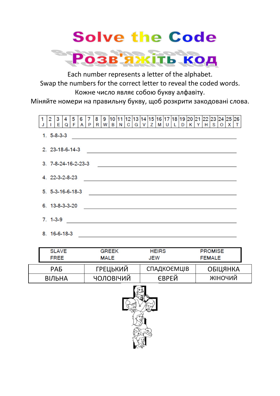## **Solve the Code**



Each number represents a letter of the alphabet. Swap the numbers for the correct letter to reveal the coded words. Кожне число являє собою букву алфавіту.

Міняйте номери на правильну букву, щоб розкрити закодовані слова.



|  | <b>SLAVE</b>    | <b>GREEK</b>    | <b>HEIRS</b> | <b>PROMISE</b>  |  |  |  |  |
|--|-----------------|-----------------|--------------|-----------------|--|--|--|--|
|  | <b>FREE</b>     | <b>MALE</b>     | <b>JEW</b>   | <b>FEMALE</b>   |  |  |  |  |
|  | PA <sub>b</sub> | <b>ГРЕЦЬКИЙ</b> | СПАДКОЄМЦІВ  | <b>ОБІЦЯНКА</b> |  |  |  |  |
|  | ВІЛЬНА          | ЧОЛОВІЧИЙ       | <b>ЄВРЕЙ</b> | ЖІНОЧИЙ         |  |  |  |  |
|  |                 |                 |              |                 |  |  |  |  |

しん